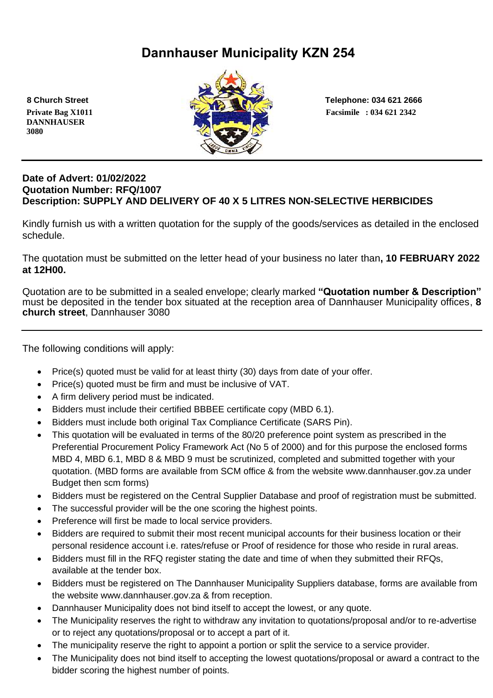# **Dannhauser Municipality KZN 254**

 **DANNHAUSER 3080** 



 **8 Church Street Telephone: 034 621 2666**

#### **Date of Advert: 01/02/2022 Quotation Number: RFQ/1007 Description: SUPPLY AND DELIVERY OF 40 X 5 LITRES NON-SELECTIVE HERBICIDES**

Kindly furnish us with a written quotation for the supply of the goods/services as detailed in the enclosed schedule.

The quotation must be submitted on the letter head of your business no later than**, 10 FEBRUARY 2022 at 12H00.**

Quotation are to be submitted in a sealed envelope; clearly marked **"Quotation number & Description"** must be deposited in the tender box situated at the reception area of Dannhauser Municipality offices, **8 church street**, Dannhauser 3080

The following conditions will apply:

- Price(s) quoted must be valid for at least thirty (30) days from date of your offer.
- Price(s) quoted must be firm and must be inclusive of VAT.
- A firm delivery period must be indicated.
- Bidders must include their certified BBBEE certificate copy (MBD 6.1).
- Bidders must include both original Tax Compliance Certificate (SARS Pin).
- This quotation will be evaluated in terms of the 80/20 preference point system as prescribed in the Preferential Procurement Policy Framework Act (No 5 of 2000) and for this purpose the enclosed forms MBD 4, MBD 6.1, MBD 8 & MBD 9 must be scrutinized, completed and submitted together with your quotation. (MBD forms are available from SCM office & from the website www.dannhauser.gov.za under Budget then scm forms)
- Bidders must be registered on the Central Supplier Database and proof of registration must be submitted.
- The successful provider will be the one scoring the highest points.
- Preference will first be made to local service providers.
- Bidders are required to submit their most recent municipal accounts for their business location or their personal residence account i.e. rates/refuse or Proof of residence for those who reside in rural areas.
- Bidders must fill in the RFQ register stating the date and time of when they submitted their RFQs, available at the tender box.
- Bidders must be registered on The Dannhauser Municipality Suppliers database, forms are available from the website www.dannhauser.gov.za & from reception.
- Dannhauser Municipality does not bind itself to accept the lowest, or any quote.
- The Municipality reserves the right to withdraw any invitation to quotations/proposal and/or to re-advertise or to reject any quotations/proposal or to accept a part of it.
- The municipality reserve the right to appoint a portion or split the service to a service provider.
- The Municipality does not bind itself to accepting the lowest quotations/proposal or award a contract to the bidder scoring the highest number of points.